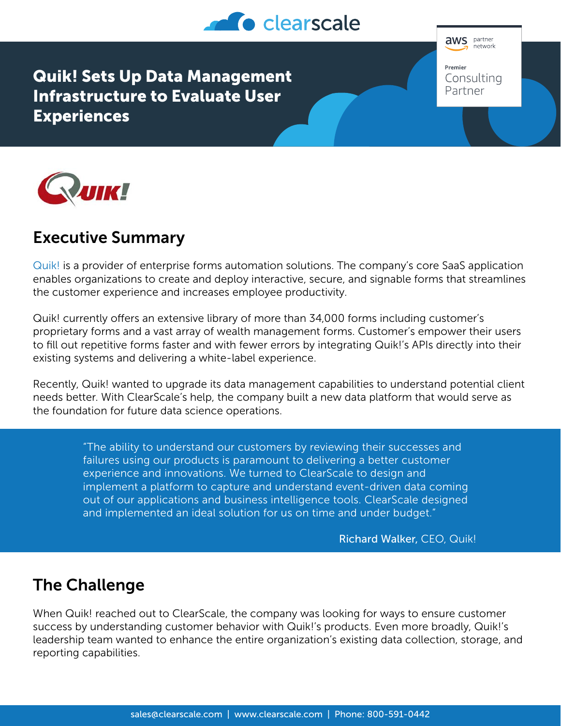

**aws** partner network Premier Consulting

Partner

Quik! Sets Up Data Management Infrastructure to Evaluate User Experiences



## Executive Summary

[Quik!](https://www.quickforms.com/) is a provider of enterprise forms automation solutions. The company's core SaaS application enables organizations to create and deploy interactive, secure, and signable forms that streamlines the customer experience and increases employee productivity.

Quik! currently offers an extensive library of more than 34,000 forms including customer's proprietary forms and a vast array of wealth management forms. Customer's empower their users to fill out repetitive forms faster and with fewer errors by integrating Quik!'s APIs directly into their existing systems and delivering a white-label experience.

Recently, Quik! wanted to upgrade its data management capabilities to understand potential client needs better. With ClearScale's help, the company built a new data platform that would serve as the foundation for future data science operations.

> "The ability to understand our customers by reviewing their successes and failures using our products is paramount to delivering a better customer experience and innovations. We turned to ClearScale to design and implement a platform to capture and understand event-driven data coming out of our applications and business intelligence tools. ClearScale designed and implemented an ideal solution for us on time and under budget."

> > Richard Walker, CEO, Quik!

## The Challenge

When Quik! reached out to ClearScale, the company was looking for ways to ensure customer success by understanding customer behavior with Quik!'s products. Even more broadly, Quik!'s leadership team wanted to enhance the entire organization's existing data collection, storage, and reporting capabilities.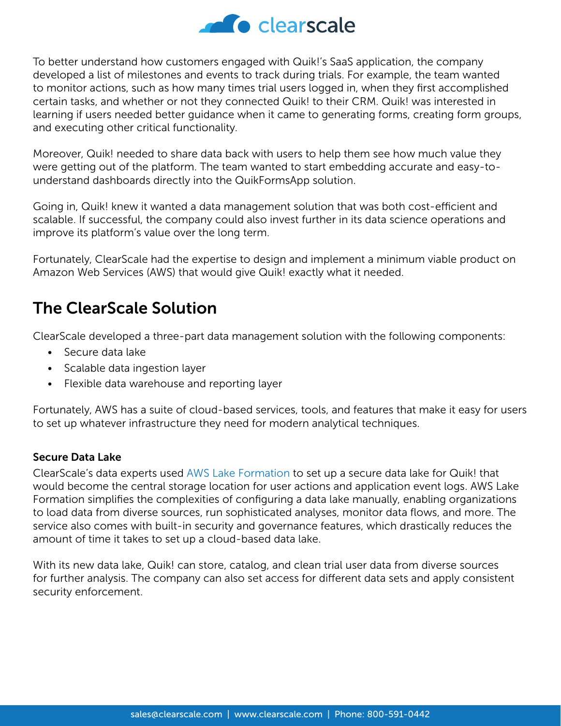

To better understand how customers engaged with Quik!'s SaaS application, the company developed a list of milestones and events to track during trials. For example, the team wanted to monitor actions, such as how many times trial users logged in, when they first accomplished certain tasks, and whether or not they connected Quik! to their CRM. Quik! was interested in learning if users needed better guidance when it came to generating forms, creating form groups, and executing other critical functionality.

Moreover, Quik! needed to share data back with users to help them see how much value they were getting out of the platform. The team wanted to start embedding accurate and easy-tounderstand dashboards directly into the QuikFormsApp solution.

Going in, Quik! knew it wanted a data management solution that was both cost-efficient and scalable. If successful, the company could also invest further in its data science operations and improve its platform's value over the long term.

Fortunately, ClearScale had the expertise to design and implement a minimum viable product on Amazon Web Services (AWS) that would give Quik! exactly what it needed.

# The ClearScale Solution

ClearScale developed a three-part data management solution with the following components:

- Secure data lake
- Scalable data ingestion layer
- Flexible data warehouse and reporting layer

Fortunately, AWS has a suite of cloud-based services, tools, and features that make it easy for users to set up whatever infrastructure they need for modern analytical techniques.

### Secure Data Lake

ClearScale's data experts used [AWS Lake Formation](https://aws.amazon.com/lake-formation/) to set up a secure data lake for Quik! that would become the central storage location for user actions and application event logs. AWS Lake Formation simplifies the complexities of configuring a data lake manually, enabling organizations to load data from diverse sources, run sophisticated analyses, monitor data flows, and more. The service also comes with built-in security and governance features, which drastically reduces the amount of time it takes to set up a cloud-based data lake.

With its new data lake, Quik! can store, catalog, and clean trial user data from diverse sources for further analysis. The company can also set access for different data sets and apply consistent security enforcement.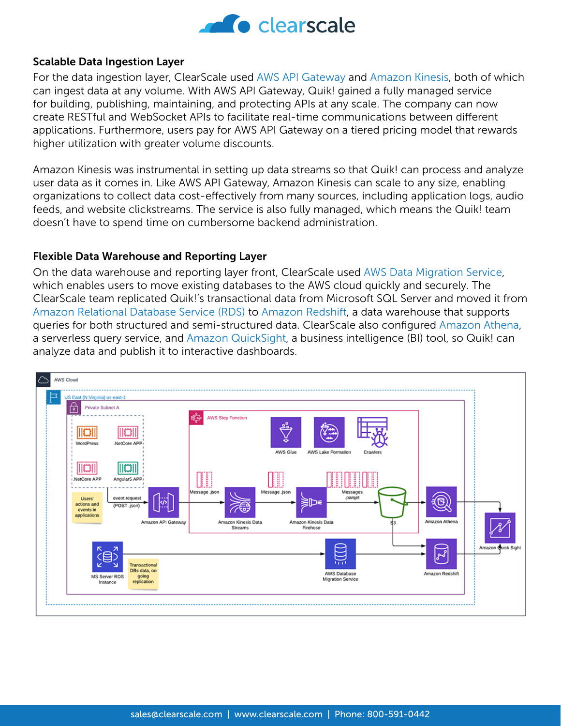

### Scalable Data Ingestion Layer

For the data ingestion layer, ClearScale used [AWS API Gateway](https://aws.amazon.com/api-gateway/) and [Amazon Kinesis,](https://aws.amazon.com/kinesis/) both of which can ingest data at any volume. With AWS API Gateway, Quik! gained a fully managed service for building, publishing, maintaining, and protecting APIs at any scale. The company can now create RESTful and WebSocket APIs to facilitate real-time communications between different applications. Furthermore, users pay for AWS API Gateway on a tiered pricing model that rewards higher utilization with greater volume discounts.

Amazon Kinesis was instrumental in setting up data streams so that Quik! can process and analyze user data as it comes in. Like AWS API Gateway, Amazon Kinesis can scale to any size, enabling organizations to collect data cost-effectively from many sources, including application logs, audio feeds, and website clickstreams. The service is also fully managed, which means the Quik! team doesn't have to spend time on cumbersome backend administration.

#### Flexible Data Warehouse and Reporting Layer

On the data warehouse and reporting layer front, ClearScale used [AWS Data Migration Service](https://aws.amazon.com/dms/), which enables users to move existing databases to the AWS cloud quickly and securely. The ClearScale team replicated Quik!'s transactional data from Microsoft SQL Server and moved it from [Amazon Relational Database Service \(RDS\)](https://aws.amazon.com/rds/) to [Amazon Redshift](https://aws.amazon.com/redshift/), a data warehouse that supports queries for both structured and semi-structured data. ClearScale also configured [Amazon Athena,](https://aws.amazon.com/athena/) a serverless query service, and [Amazon QuickSight](https://aws.amazon.com/quicksight/), a business intelligence (BI) tool, so Quik! can analyze data and publish it to interactive dashboards.